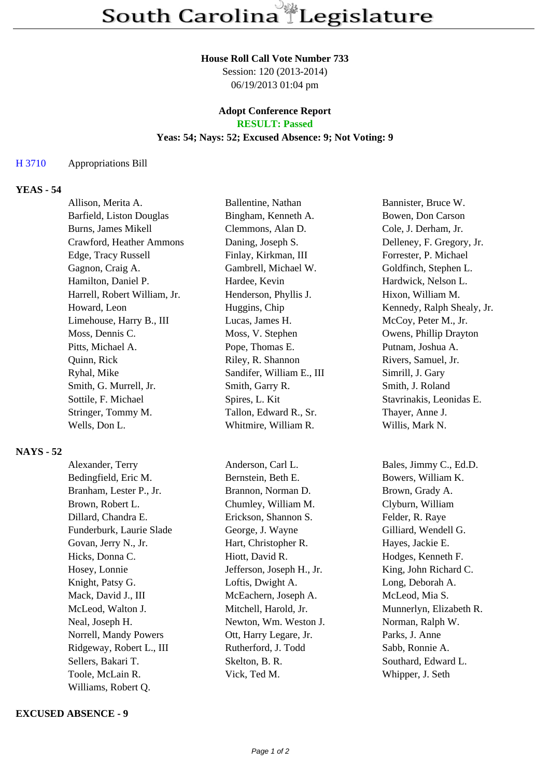#### **House Roll Call Vote Number 733**

Session: 120 (2013-2014) 06/19/2013 01:04 pm

# **Adopt Conference Report**

## **RESULT: Passed**

## **Yeas: 54; Nays: 52; Excused Absence: 9; Not Voting: 9**

#### H 3710 Appropriations Bill

## **YEAS - 54**

| Allison, Merita A.           | Ballentine, Nathan        | Bannister, Bruce W.        |
|------------------------------|---------------------------|----------------------------|
| Barfield, Liston Douglas     | Bingham, Kenneth A.       | Bowen, Don Carson          |
| Burns, James Mikell          | Clemmons, Alan D.         | Cole, J. Derham, Jr.       |
| Crawford, Heather Ammons     | Daning, Joseph S.         | Delleney, F. Gregory, Jr.  |
| Edge, Tracy Russell          | Finlay, Kirkman, III      | Forrester, P. Michael      |
| Gagnon, Craig A.             | Gambrell, Michael W.      | Goldfinch, Stephen L.      |
| Hamilton, Daniel P.          | Hardee, Kevin             | Hardwick, Nelson L.        |
| Harrell, Robert William, Jr. | Henderson, Phyllis J.     | Hixon, William M.          |
| Howard, Leon                 | Huggins, Chip             | Kennedy, Ralph Shealy, Jr. |
| Limehouse, Harry B., III     | Lucas, James H.           | McCoy, Peter M., Jr.       |
| Moss, Dennis C.              | Moss, V. Stephen          | Owens, Phillip Drayton     |
| Pitts, Michael A.            | Pope, Thomas E.           | Putnam, Joshua A.          |
| Quinn, Rick                  | Riley, R. Shannon         | Rivers, Samuel, Jr.        |
| Ryhal, Mike                  | Sandifer, William E., III | Simrill, J. Gary           |
| Smith, G. Murrell, Jr.       | Smith, Garry R.           | Smith, J. Roland           |
| Sottile, F. Michael          | Spires, L. Kit            | Stavrinakis, Leonidas E.   |
| Stringer, Tommy M.           | Tallon, Edward R., Sr.    | Thayer, Anne J.            |
| Wells, Don L.                | Whitmire, William R.      | Willis, Mark N.            |

#### **NAYS - 52**

| Alexander, Terry         | Anderson, Carl L.         |
|--------------------------|---------------------------|
| Bedingfield, Eric M.     | Bernstein, Beth E.        |
| Branham, Lester P., Jr.  | Brannon, Norman D.        |
| Brown, Robert L.         | Chumley, William M.       |
| Dillard, Chandra E.      | Erickson, Shannon S.      |
| Funderburk, Laurie Slade | George, J. Wayne          |
| Govan, Jerry N., Jr.     | Hart, Christopher R.      |
| Hicks, Donna C.          | Hiott, David R.           |
| Hosey, Lonnie            | Jefferson, Joseph H., Jr. |
| Knight, Patsy G.         | Loftis, Dwight A.         |
| Mack, David J., III      | McEachern, Joseph A.      |
| McLeod, Walton J.        | Mitchell, Harold, Jr.     |
| Neal, Joseph H.          | Newton, Wm. Weston J.     |
| Norrell, Mandy Powers    | Ott, Harry Legare, Jr.    |
| Ridgeway, Robert L., III | Rutherford, J. Todd       |
| Sellers, Bakari T.       | Skelton, B. R.            |
| Toole, McLain R.         | Vick, Ted M.              |
| Williams, Robert Q.      |                           |

#### **EXCUSED ABSENCE - 9**

Bales, Jimmy C., Ed.D. Bowers, William K. Brown, Grady A. Clyburn, William Felder, R. Raye Gilliard, Wendell G. Hayes, Jackie E. Hodges, Kenneth F. King, John Richard C. Long, Deborah A. McLeod, Mia S. Munnerlyn, Elizabeth R. Norman, Ralph W. Parks, J. Anne

Sabb, Ronnie A. Southard, Edward L. Whipper, J. Seth